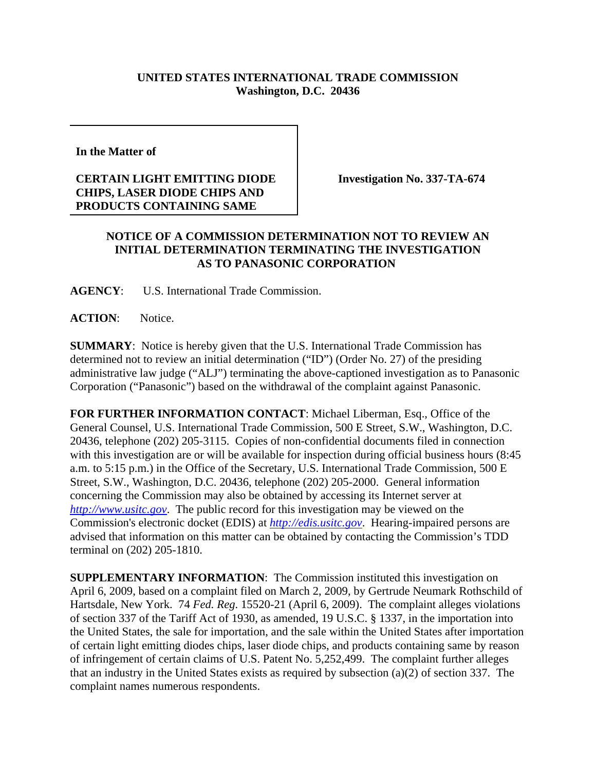## **UNITED STATES INTERNATIONAL TRADE COMMISSION Washington, D.C. 20436**

**In the Matter of** 

## **CERTAIN LIGHT EMITTING DIODE CHIPS, LASER DIODE CHIPS AND PRODUCTS CONTAINING SAME**

**Investigation No. 337-TA-674**

## **NOTICE OF A COMMISSION DETERMINATION NOT TO REVIEW AN INITIAL DETERMINATION TERMINATING THE INVESTIGATION AS TO PANASONIC CORPORATION**

**AGENCY**: U.S. International Trade Commission.

**ACTION**: Notice.

**SUMMARY**: Notice is hereby given that the U.S. International Trade Commission has determined not to review an initial determination ("ID") (Order No. 27) of the presiding administrative law judge ("ALJ") terminating the above-captioned investigation as to Panasonic Corporation ("Panasonic") based on the withdrawal of the complaint against Panasonic.

**FOR FURTHER INFORMATION CONTACT**: Michael Liberman, Esq., Office of the General Counsel, U.S. International Trade Commission, 500 E Street, S.W., Washington, D.C. 20436, telephone (202) 205-3115. Copies of non-confidential documents filed in connection with this investigation are or will be available for inspection during official business hours (8:45 a.m. to 5:15 p.m.) in the Office of the Secretary, U.S. International Trade Commission, 500 E Street, S.W., Washington, D.C. 20436, telephone (202) 205-2000. General information concerning the Commission may also be obtained by accessing its Internet server at *http://www.usitc.gov*. The public record for this investigation may be viewed on the Commission's electronic docket (EDIS) at *http://edis.usitc.gov*. Hearing-impaired persons are advised that information on this matter can be obtained by contacting the Commission's TDD terminal on (202) 205-1810.

**SUPPLEMENTARY INFORMATION:** The Commission instituted this investigation on April 6, 2009, based on a complaint filed on March 2, 2009, by Gertrude Neumark Rothschild of Hartsdale, New York. 74 *Fed. Reg*. 15520-21 (April 6, 2009). The complaint alleges violations of section 337 of the Tariff Act of 1930, as amended, 19 U.S.C. § 1337, in the importation into the United States, the sale for importation, and the sale within the United States after importation of certain light emitting diodes chips, laser diode chips, and products containing same by reason of infringement of certain claims of U.S. Patent No. 5,252,499. The complaint further alleges that an industry in the United States exists as required by subsection (a)(2) of section 337. The complaint names numerous respondents.